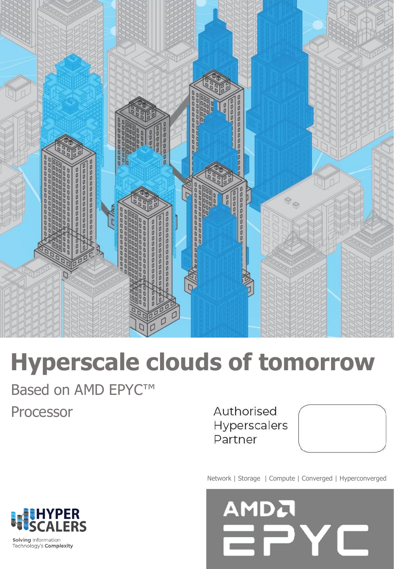

# **Hyperscale clouds of tomorrow**

Based on AMD EPYC<sup>™</sup> Processor

Authorised Hyperscalers Partner

Network | Storage | Compute | Converged | Hyperconverged





Solving Information Technology's Complexity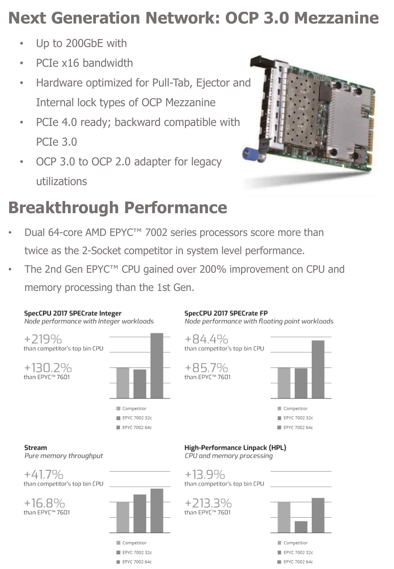# **Next Generation Network: OCP 3.0 Mezzanine**

- Up to 200GbE with
- PCIe x16 bandwidth
- Hardware optimized for Pull-Tab, Ejector and Internal lock types of OCP Mezzanine
- PCIe 4.0 ready; backward compatible with PCIe 3.0
- OCP 3.0 to OCP 2.0 adapter for legacy utilizations



# **Breakthrough Performance**

- Dual 64-core AMD EPYC<sup>™</sup> 7002 series processors score more than twice as the 2-Socket competitor in system level performance.
- The 2nd Gen EPYC™ CPU gained over 200% improvement on CPU and memory processing than the 1st Gen.

#### SpecCPU 2017 SPECrate Integer

Node performance with Integer workloads



### SpecCPU 2017 SPECrate FP

Node performance with floating point workloads





**Stream** Pure memory throughput

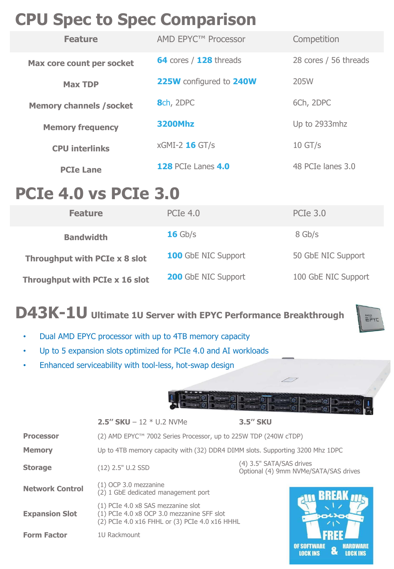# **CPU Spec to Spec Comparison**

| <b>Feature</b>                  | AMD EPYC <sup>™</sup> Processor | Competition           |
|---------------------------------|---------------------------------|-----------------------|
| Max core count per socket       | 64 cores / 128 threads          | 28 cores / 56 threads |
| <b>Max TDP</b>                  | 225W configured to 240W         | 205W                  |
| <b>Memory channels / socket</b> | 8ch, 2DPC                       | 6Ch, 2DPC             |
| <b>Memory frequency</b>         | <b>3200Mhz</b>                  | Up to 2933mhz         |
| <b>CPU interlinks</b>           | xGMI-2 16 GT/s                  | $10$ GT/s             |
| <b>PCIe Lane</b>                | <b>128 PCIe Lanes 4.0</b>       | 48 PCIe lanes 3.0     |

# **PCIe 4.0 vs PCIe 3.0**

| <b>Feature</b>                 | <b>PCIe 4.0</b>            | <b>PCIe 3.0</b>     |
|--------------------------------|----------------------------|---------------------|
| <b>Bandwidth</b>               | $16$ Gb/s                  | 8 Gb/s              |
| Throughput with PCIe x 8 slot  | <b>100</b> GbE NIC Support | 50 GbE NIC Support  |
| Throughput with PCIe x 16 slot | <b>200</b> GbE NIC Support | 100 GbE NIC Support |

### **D43K-1U Ultimate 1U Server with EPYC Performance Breakthrough**



- Dual AMD EPYC processor with up to 4TB memory capacity
- Up to 5 expansion slots optimized for PCIe 4.0 and AI workloads
- Enhanced serviceability with tool-less, hot-swap design



**OF SOFTWARE** 

**LOCK INS** 

**HARDWARE** 

**LOCK INS** 

|                        | 2.5" $SKU - 12 * U.2$ NVMe                                                                                                         | <b>3.5" SKU</b>                                                   |  |
|------------------------|------------------------------------------------------------------------------------------------------------------------------------|-------------------------------------------------------------------|--|
| <b>Processor</b>       | (2) AMD EPYC <sup>™</sup> 7002 Series Processor, up to 225W TDP (240W cTDP)                                                        |                                                                   |  |
| <b>Memory</b>          | Up to 4TB memory capacity with (32) DDR4 DIMM slots. Supporting 3200 Mhz 1DPC                                                      |                                                                   |  |
| <b>Storage</b>         | $(12)$ 2.5" U.2 SSD                                                                                                                | (4) 3.5" SATA/SAS drives<br>Optional (4) 9mm NVMe/SATA/SAS drives |  |
| <b>Network Control</b> | $(1)$ OCP 3.0 mezzanine<br>(2) 1 GbE dedicated management port                                                                     | <b>BREAK</b>                                                      |  |
| <b>Expansion Slot</b>  | (1) PCIe 4.0 x8 SAS mezzanine slot<br>(1) PCIe 4.0 x8 OCP 3.0 mezzanine SFF slot<br>(2) PCIe 4.0 x16 FHHL or (3) PCIe 4.0 x16 HHHL | <b>KOLIC</b>                                                      |  |
| <b>Form Factor</b>     | 1U Rackmount                                                                                                                       |                                                                   |  |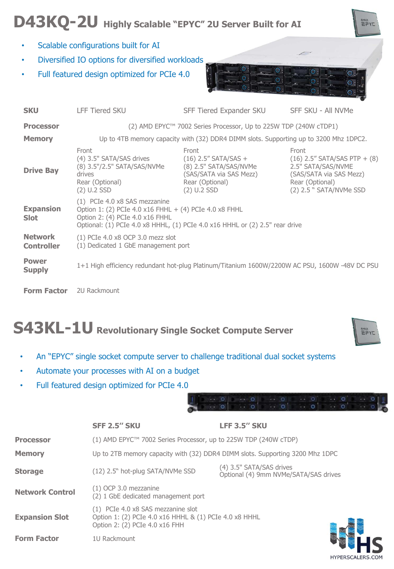# **D43KQ-2U Highly Scalable "EPYC" 2U Server Built for AI**

- Scalable configurations built for AI
- Diversified IO options for diversified workloads
- Full featured design optimized for PCIe 4.0



| <b>SKU</b>                                                                                                                      | <b>LFF Tiered SKU</b>                                                                                                                                                                                      | SFF Tiered Expander SKU                                                                        | SFF SKU - All NVMe                                                                                                                       |  |
|---------------------------------------------------------------------------------------------------------------------------------|------------------------------------------------------------------------------------------------------------------------------------------------------------------------------------------------------------|------------------------------------------------------------------------------------------------|------------------------------------------------------------------------------------------------------------------------------------------|--|
| <b>Processor</b>                                                                                                                | (2) AMD EPYC™ 7002 Series Processor, Up to 225W TDP (240W cTDP1)                                                                                                                                           |                                                                                                |                                                                                                                                          |  |
| <b>Memory</b>                                                                                                                   | Up to 4TB memory capacity with (32) DDR4 DIMM slots. Supporting up to 3200 Mhz 1DPC2.                                                                                                                      |                                                                                                |                                                                                                                                          |  |
| <b>Drive Bay</b>                                                                                                                | Front<br>(4) 3.5" SATA/SAS drives<br>(8) 3.5"/2.5" SATA/SAS/NVMe (8) 2.5" SATA/SAS/NVMe<br>drives<br>Rear (Optional)<br>$(2)$ U.2 SSD                                                                      | Front<br>$(16)$ 2.5" SATA/SAS +<br>(SAS/SATA via SAS Mezz)<br>Rear (Optional)<br>$(2)$ U.2 SSD | Front<br>$(16)$ 2.5" SATA/SAS PTP + $(8)$<br>2.5" SATA/SAS/NVME<br>(SAS/SATA via SAS Mezz)<br>Rear (Optional)<br>(2) 2.5 " SATA/NVMe SSD |  |
| <b>Expansion</b><br><b>Slot</b>                                                                                                 | (1) PCIe 4.0 x8 SAS mezzanine<br>Option 1: (2) PCIe 4.0 x16 FHHL + (4) PCIe 4.0 x8 FHHL<br>Option 2: (4) PCIe 4.0 x16 FHHL<br>Optional: (1) PCIe 4.0 x8 HHHL, (1) PCIe 4.0 x16 HHHL or (2) 2.5" rear drive |                                                                                                |                                                                                                                                          |  |
| <b>Network</b><br>$(1)$ PCIe 4.0 x8 OCP 3.0 mezz slot<br>(1) Dedicated 1 GbE management port<br><b>Controller</b>               |                                                                                                                                                                                                            |                                                                                                |                                                                                                                                          |  |
| <b>Power</b><br>1+1 High efficiency redundant hot-plug Platinum/Titanium 1600W/2200W AC PSU, 1600W -48V DC PSU<br><b>Supply</b> |                                                                                                                                                                                                            |                                                                                                |                                                                                                                                          |  |
| <b>Form Factor</b> 2U Rackmount                                                                                                 |                                                                                                                                                                                                            |                                                                                                |                                                                                                                                          |  |

# **S43KL-1U Revolutionary Single Socket Compute Server**



HYPERSCALERS.COM

amba<br>근근YC

• An "EPYC" single socket compute server to challenge traditional dual socket systems

**SFF 2.5'' SKU LFF 3.5'' SKU**

- Automate your processes with AI on a budget
- Full featured design optimized for PCIe 4.0

|                        | ƏFF 4.9 ƏNU                                                                                                                    | LEE J.J. JNU                                                      |  |
|------------------------|--------------------------------------------------------------------------------------------------------------------------------|-------------------------------------------------------------------|--|
| <b>Processor</b>       | $(1)$ AMD EPYC <sup>TM</sup> 7002 Series Processor, up to 225W TDP (240W cTDP)                                                 |                                                                   |  |
| <b>Memory</b>          | Up to 2TB memory capacity with (32) DDR4 DIMM slots. Supporting 3200 Mhz 1DPC                                                  |                                                                   |  |
| <b>Storage</b>         | (12) 2.5" hot-plug SATA/NVMe SSD                                                                                               | (4) 3.5" SATA/SAS drives<br>Optional (4) 9mm NVMe/SATA/SAS drives |  |
| <b>Network Control</b> | $(1)$ OCP 3.0 mezzanine<br>(2) 1 GbE dedicated management port                                                                 |                                                                   |  |
| <b>Expansion Slot</b>  | (1) PCIe 4.0 x8 SAS mezzanine slot<br>Option 1: (2) PCIe 4.0 x16 HHHL & (1) PCIe 4.0 x8 HHHL<br>Option 2: (2) PCIe 4.0 x16 FHH |                                                                   |  |
| <b>Form Factor</b>     | 111 Rackmount                                                                                                                  |                                                                   |  |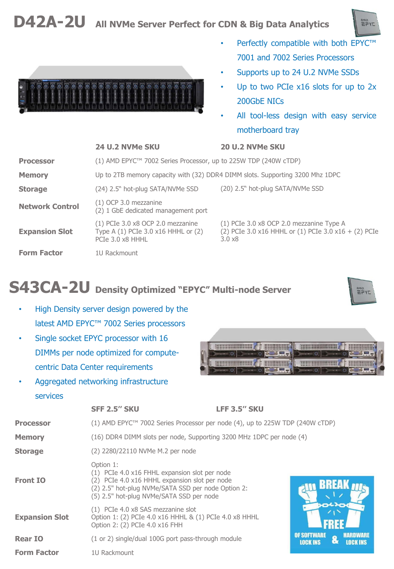### **D42A-2U All NVMe Server Perfect for CDN & Big Data Analytics**



- Perfectly compatible with both EPYC™ 7001 and 7002 Series Processors
- Supports up to 24 U.2 NVMe SSDs
- Up to two PCIe x16 slots for up to 2x 200GbE NICs
- All tool-less design with easy service motherboard tray

| <b>Processor</b>       | (1) AMD EPYC <sup>™</sup> 7002 Series Processor, up to 225W TDP (240W cTDP)                    |                                                                                                                    |  |
|------------------------|------------------------------------------------------------------------------------------------|--------------------------------------------------------------------------------------------------------------------|--|
| <b>Memory</b>          | Up to 2TB memory capacity with (32) DDR4 DIMM slots. Supporting 3200 Mhz 1DPC                  |                                                                                                                    |  |
| <b>Storage</b>         | (24) 2.5" hot-plug SATA/NVMe SSD                                                               | (20) 2.5" hot-plug SATA/NVMe SSD                                                                                   |  |
| <b>Network Control</b> | $(1)$ OCP 3.0 mezzanine<br>(2) 1 GbE dedicated management port                                 |                                                                                                                    |  |
| <b>Expansion Slot</b>  | $(1)$ PCIe 3.0 x8 OCP 2.0 mezzanine<br>Type A (1) PCIe 3.0 x16 HHHL or (2)<br>PCIe 3.0 x8 HHHL | (1) PCIe 3.0 x8 OCP 2.0 mezzanine Type A<br>(2) PCIe 3.0 x16 HHHL or (1) PCIe 3.0 x16 + (2) PCIe<br>$3.0 \times 8$ |  |
| <b>Form Factor</b>     | 1U Rackmount                                                                                   |                                                                                                                    |  |

### **S43CA-2U Density Optimized "EPYC" Multi-node Server**

- High Density server design powered by the latest AMD EPYC™ 7002 Series processors
- Single socket EPYC processor with 16 DIMMs per node optimized for computecentric Data Center requirements
- Aggregated networking infrastructure services



![](_page_4_Picture_12.jpeg)

![](_page_4_Picture_13.jpeg)

 $7Y57$ 

### **24 U.2 NVMe SKU 20 U.2 NVMe SKU**